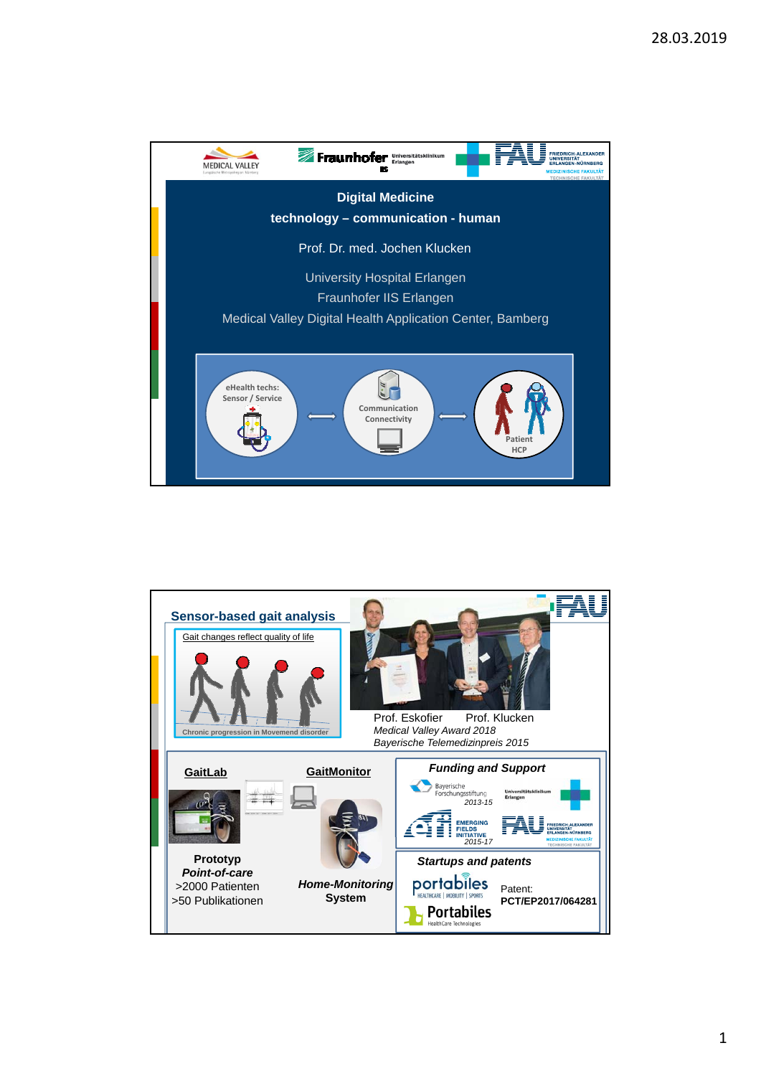